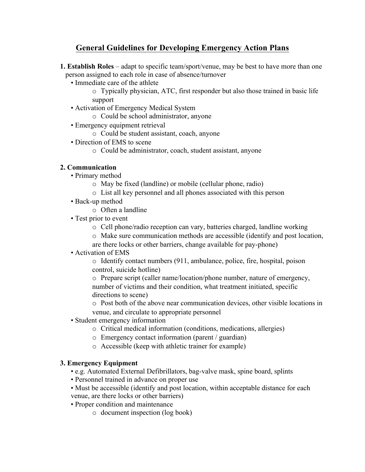# **General Guidelines for Developing Emergency Action Plans**

- **1. Establish Roles** adapt to specific team/sport/venue, may be best to have more than one person assigned to each role in case of absence/turnover
	- Immediate care of the athlete

o Typically physician, ATC, first responder but also those trained in basic life support

- Activation of Emergency Medical System
	- o Could be school administrator, anyone
- Emergency equipment retrieval
	- o Could be student assistant, coach, anyone
- Direction of EMS to scene
	- o Could be administrator, coach, student assistant, anyone

#### **2. Communication**

- Primary method
	- o May be fixed (landline) or mobile (cellular phone, radio)
	- o List all key personnel and all phones associated with this person
- Back-up method
	- o Often a landline
- Test prior to event
	- o Cell phone/radio reception can vary, batteries charged, landline working
	- o Make sure communication methods are accessible (identify and post location,
	- are there locks or other barriers, change available for pay-phone)
- Activation of EMS

o Identify contact numbers (911, ambulance, police, fire, hospital, poison control, suicide hotline)

o Prepare script (caller name/location/phone number, nature of emergency, number of victims and their condition, what treatment initiated, specific directions to scene)

o Post both of the above near communication devices, other visible locations in venue, and circulate to appropriate personnel

- Student emergency information
	- o Critical medical information (conditions, medications, allergies)
	- o Emergency contact information (parent / guardian)
	- o Accessible (keep with athletic trainer for example)

#### **3. Emergency Equipment**

- e.g. Automated External Defibrillators, bag-valve mask, spine board, splints
- Personnel trained in advance on proper use
- Must be accessible (identify and post location, within acceptable distance for each venue, are there locks or other barriers)
- Proper condition and maintenance
	- o document inspection (log book)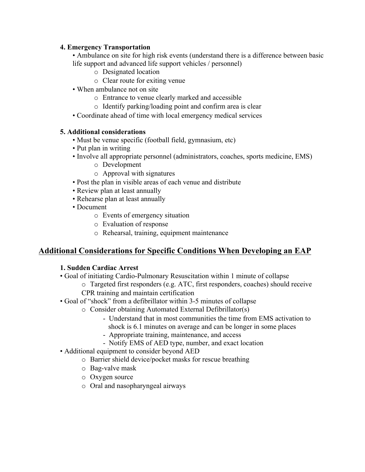#### **4. Emergency Transportation**

• Ambulance on site for high risk events (understand there is a difference between basic life support and advanced life support vehicles / personnel)

- o Designated location
- o Clear route for exiting venue
- When ambulance not on site
	- o Entrance to venue clearly marked and accessible
	- o Identify parking/loading point and confirm area is clear
- Coordinate ahead of time with local emergency medical services

#### **5. Additional considerations**

- Must be venue specific (football field, gymnasium, etc)
- Put plan in writing
- Involve all appropriate personnel (administrators, coaches, sports medicine, EMS)
	- o Development
	- o Approval with signatures
- Post the plan in visible areas of each venue and distribute
- Review plan at least annually
- Rehearse plan at least annually
- Document
	- o Events of emergency situation
	- o Evaluation of response
	- o Rehearsal, training, equipment maintenance

## **Additional Considerations for Specific Conditions When Developing an EAP**

#### **1. Sudden Cardiac Arrest**

- Goal of initiating Cardio-Pulmonary Resuscitation within 1 minute of collapse
	- o Targeted first responders (e.g. ATC, first responders, coaches) should receive CPR training and maintain certification
- Goal of "shock" from a defibrillator within 3-5 minutes of collapse
	- o Consider obtaining Automated External Defibrillator(s)
		- Understand that in most communities the time from EMS activation to shock is 6.1 minutes on average and can be longer in some places
		- Appropriate training, maintenance, and access
		- Notify EMS of AED type, number, and exact location
- Additional equipment to consider beyond AED
	- o Barrier shield device/pocket masks for rescue breathing
	- o Bag-valve mask
	- o Oxygen source
	- o Oral and nasopharyngeal airways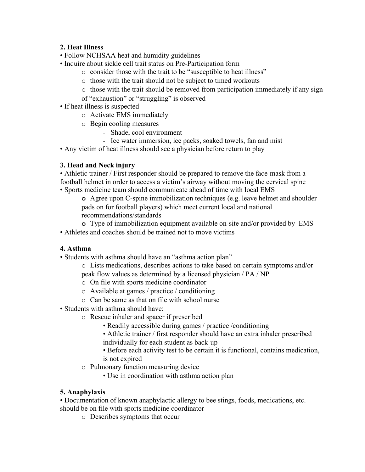## **2. Heat Illness**

- Follow NCHSAA heat and humidity guidelines
- Inquire about sickle cell trait status on Pre-Participation form
	- o consider those with the trait to be "susceptible to heat illness"
	- o those with the trait should not be subject to timed workouts
	- $\circ$  those with the trait should be removed from participation immediately if any sign
	- of "exhaustion" or "struggling" is observed
- If heat illness is suspected
	- o Activate EMS immediately
	- o Begin cooling measures
		- Shade, cool environment
		- Ice water immersion, ice packs, soaked towels, fan and mist
- Any victim of heat illness should see a physician before return to play

#### **3. Head and Neck injury**

• Athletic trainer / First responder should be prepared to remove the face-mask from a football helmet in order to access a victim's airway without moving the cervical spine • Sports medicine team should communicate ahead of time with local EMS

**o** Agree upon C-spine immobilization techniques (e.g. leave helmet and shoulder pads on for football players) which meet current local and national recommendations/standards

- **o** Type of immobilization equipment available on-site and/or provided by EMS
- Athletes and coaches should be trained not to move victims

## **4. Asthma**

- Students with asthma should have an "asthma action plan"
	- o Lists medications, describes actions to take based on certain symptoms and/or
	- peak flow values as determined by a licensed physician / PA / NP
	- o On file with sports medicine coordinator
	- o Available at games / practice / conditioning
	- o Can be same as that on file with school nurse
- Students with asthma should have:
	- o Rescue inhaler and spacer if prescribed
		- Readily accessible during games / practice /conditioning
		- Athletic trainer / first responder should have an extra inhaler prescribed individually for each student as back-up
		- Before each activity test to be certain it is functional, contains medication, is not expired
	- o Pulmonary function measuring device
		- Use in coordination with asthma action plan

## **5. Anaphylaxis**

• Documentation of known anaphylactic allergy to bee stings, foods, medications, etc. should be on file with sports medicine coordinator

o Describes symptoms that occur